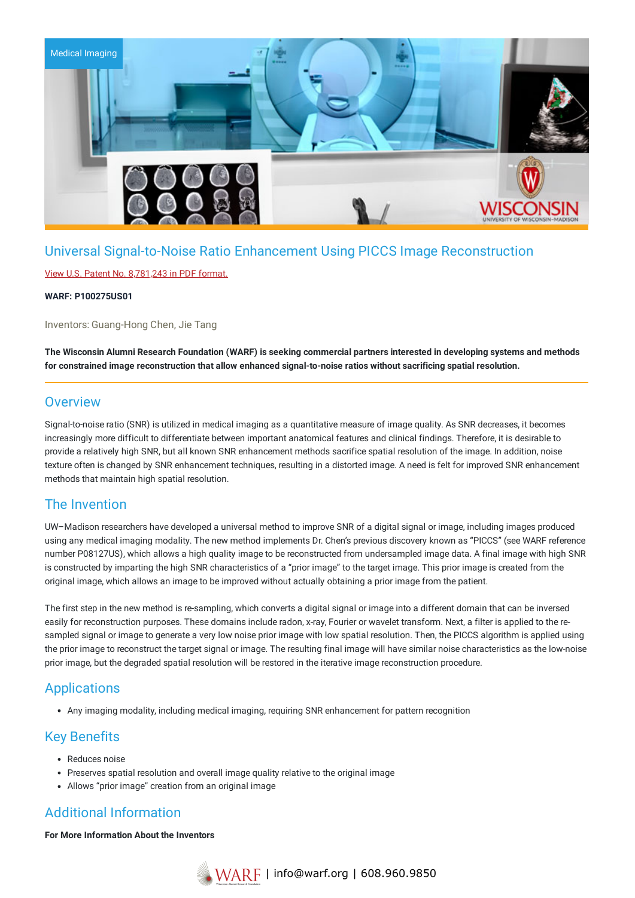

# Universal Signal-to-Noise Ratio Enhancement Using PICCS Image Reconstruction

### View U.S. Patent No. [8,781,243](https://www.warf.org/wp-content/uploads/technologies/ipstatus/P100275US01.PDF) in PDF format.

#### **WARF: P100275US01**

Inventors: Guang-Hong Chen, Jie Tang

The Wisconsin Alumni Research Foundation (WARF) is seeking commercial partners interested in developing systems and methods **for constrained image reconstruction that allow enhanced signal-to-noise ratios without sacrificing spatial resolution.**

## **Overview**

Signal-to-noise ratio (SNR) is utilized in medical imaging as a quantitative measure of image quality. As SNR decreases, it becomes increasingly more difficult to differentiate between important anatomical features and clinical findings. Therefore, it is desirable to provide a relatively high SNR, but all known SNR enhancement methods sacrifice spatial resolution of the image. In addition, noise texture often is changed by SNR enhancement techniques, resulting in a distorted image. A need is felt for improved SNR enhancement methods that maintain high spatial resolution.

## The Invention

UW–Madison researchers have developed a universal method to improve SNR of a digital signal or image, including images produced using any medical imaging modality. The new method implements Dr. Chen's previous discovery known as "PICCS" (see WARF reference number P08127US), which allows a high quality image to be reconstructed from undersampled image data. A final image with high SNR is constructed by imparting the high SNR characteristics of a "prior image" to the target image. This prior image is created from the original image, which allows an image to be improved without actually obtaining a prior image from the patient.

The first step in the new method is re-sampling, which converts a digital signal or image into a different domain that can be inversed easily for reconstruction purposes. These domains include radon, x-ray, Fourier or wavelet transform. Next, a filter is applied to the resampled signal or image to generate a very low noise prior image with low spatial resolution. Then, the PICCS algorithm is applied using the prior image to reconstruct the target signal or image. The resulting final image will have similar noise characteristics as the low-noise prior image, but the degraded spatial resolution will be restored in the iterative image reconstruction procedure.

## **Applications**

Any imaging modality, including medical imaging, requiring SNR enhancement for pattern recognition

## Key Benefits

- Reduces noise
- Preserves spatial resolution and overall image quality relative to the original image
- Allows "prior image" creation from an original image

# Additional Information

**For More Information About the Inventors**